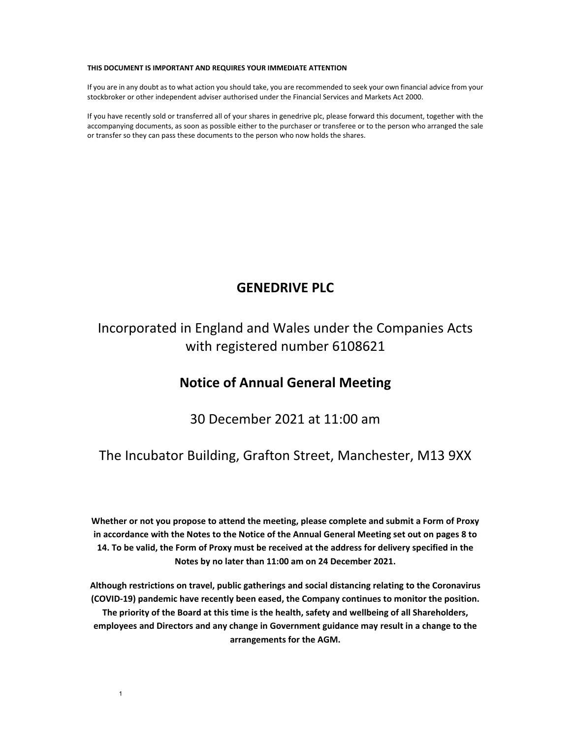#### **THIS DOCUMENT IS IMPORTANT AND REQUIRES YOUR IMMEDIATE ATTENTION**

If you are in any doubt as to what action you should take, you are recommended to seek your own financial advice from your stockbroker or other independent adviser authorised under the Financial Services and Markets Act 2000.

If you have recently sold or transferred all of your shares in genedrive plc, please forward this document, together with the accompanying documents, as soon as possible either to the purchaser or transferee or to the person who arranged the sale or transfer so they can pass these documents to the person who now holds the shares.

## **GENEDRIVE PLC**

Incorporated in England and Wales under the Companies Acts with registered number 6108621

## **Notice of Annual General Meeting**

30 December 2021 at 11:00 am

### The Incubator Building, Grafton Street, Manchester, M13 9XX

**Whether or not you propose to attend the meeting, please complete and submit a Form of Proxy** in accordance with the Notes to the Notice of the Annual General Meeting set out on pages 8 to 14. To be valid, the Form of Proxy must be received at the address for delivery specified in the **Notes by no later than 11:00 am on 24 December 2021.** 

**Although restrictions on travel, public gatherings and social distancing relating to the Coronavirus (COVID‐19) pandemic have recently been eased, the Company continues to monitor the position. The priority of the Board at this time is the health, safety and wellbeing of all Shareholders, employees and Directors and any change in Government guidance may result in a change to the arrangements for the AGM.**

1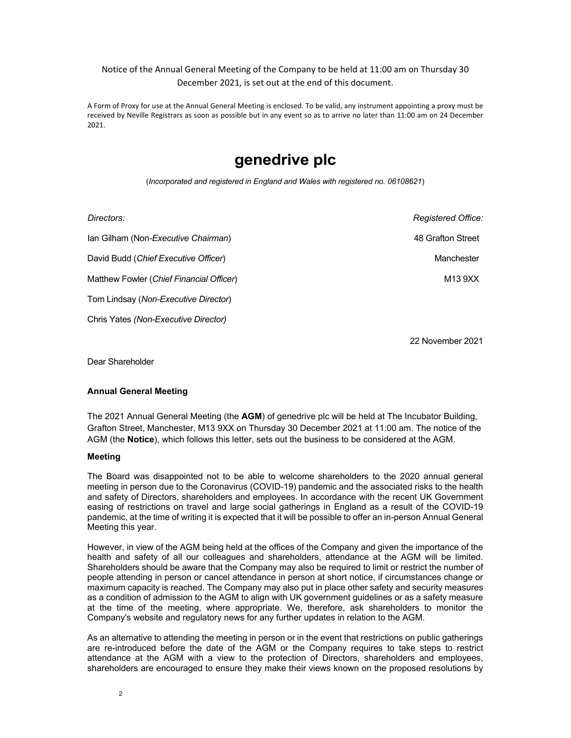### Notice of the Annual General Meeting of the Company to be held at 11:00 am on Thursday 30 December 2021, is set out at the end of this document.

A Form of Proxy for use at the Annual General Meeting is enclosed. To be valid, any instrument appointing a proxy must be received by Neville Registrars as soon as possible but in any event so as to arrive no later than 11:00 am on 24 December 2021.

# **genedrive plc**

(*Incorporated and registered in England and Wales with registered no. 06108621*)

| Directors:                               | Registered Office: |
|------------------------------------------|--------------------|
| Ian Gilham (Non-Executive Chairman)      | 48 Grafton Street  |
| David Budd (Chief Executive Officer)     | Manchester         |
| Matthew Fowler (Chief Financial Officer) | M13 9XX            |
| Tom Lindsay (Non-Executive Director)     |                    |
| Chris Yates (Non-Executive Director)     |                    |

22 November 2021

Dear Shareholder

#### **Annual General Meeting**

The 2021 Annual General Meeting (the **AGM**) of genedrive plc will be held at The Incubator Building, Grafton Street, Manchester, M13 9XX on Thursday 30 December 2021 at 11:00 am. The notice of the AGM (the **Notice**), which follows this letter, sets out the business to be considered at the AGM.

#### **Meeting**

The Board was disappointed not to be able to welcome shareholders to the 2020 annual general meeting in person due to the Coronavirus (COVID-19) pandemic and the associated risks to the health and safety of Directors, shareholders and employees. In accordance with the recent UK Government easing of restrictions on travel and large social gatherings in England as a result of the COVID-19 pandemic, at the time of writing it is expected that it will be possible to offer an in-person Annual General Meeting this year.

However, in view of the AGM being held at the offices of the Company and given the importance of the health and safety of all our colleagues and shareholders, attendance at the AGM will be limited. Shareholders should be aware that the Company may also be required to limit or restrict the number of people attending in person or cancel attendance in person at short notice, if circumstances change or maximum capacity is reached. The Company may also put in place other safety and security measures as a condition of admission to the AGM to align with UK government guidelines or as a safety measure at the time of the meeting, where appropriate. We, therefore, ask shareholders to monitor the Company's website and regulatory news for any further updates in relation to the AGM.

As an alternative to attending the meeting in person or in the event that restrictions on public gatherings are re-introduced before the date of the AGM or the Company requires to take steps to restrict attendance at the AGM with a view to the protection of Directors, shareholders and employees, shareholders are encouraged to ensure they make their views known on the proposed resolutions by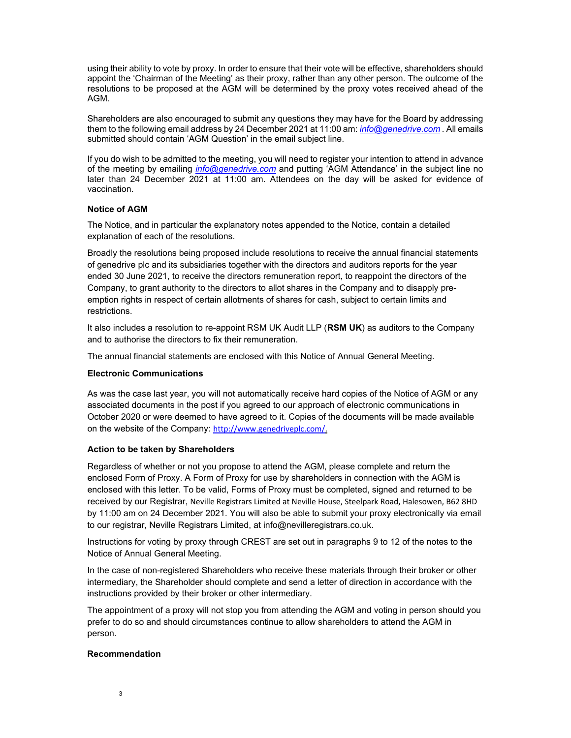using their ability to vote by proxy. In order to ensure that their vote will be effective, shareholders should appoint the 'Chairman of the Meeting' as their proxy, rather than any other person. The outcome of the resolutions to be proposed at the AGM will be determined by the proxy votes received ahead of the AGM.

Shareholders are also encouraged to submit any questions they may have for the Board by addressing them to the following email address by 24 December 2021 at 11:00 am: *info@genedrive.com .* All emails submitted should contain 'AGM Question' in the email subject line.

If you do wish to be admitted to the meeting, you will need to register your intention to attend in advance of the meeting by emailing *info@genedrive.com* and putting 'AGM Attendance' in the subject line no later than 24 December 2021 at 11:00 am. Attendees on the day will be asked for evidence of vaccination.

#### **Notice of AGM**

The Notice, and in particular the explanatory notes appended to the Notice, contain a detailed explanation of each of the resolutions.

Broadly the resolutions being proposed include resolutions to receive the annual financial statements of genedrive plc and its subsidiaries together with the directors and auditors reports for the year ended 30 June 2021, to receive the directors remuneration report, to reappoint the directors of the Company, to grant authority to the directors to allot shares in the Company and to disapply preemption rights in respect of certain allotments of shares for cash, subject to certain limits and restrictions.

It also includes a resolution to re-appoint RSM UK Audit LLP (**RSM UK**) as auditors to the Company and to authorise the directors to fix their remuneration.

The annual financial statements are enclosed with this Notice of Annual General Meeting.

#### **Electronic Communications**

As was the case last year, you will not automatically receive hard copies of the Notice of AGM or any associated documents in the post if you agreed to our approach of electronic communications in October 2020 or were deemed to have agreed to it. Copies of the documents will be made available on the website of the Company: http://www.genedriveplc.com/.

#### **Action to be taken by Shareholders**

Regardless of whether or not you propose to attend the AGM, please complete and return the enclosed Form of Proxy. A Form of Proxy for use by shareholders in connection with the AGM is enclosed with this letter. To be valid, Forms of Proxy must be completed, signed and returned to be received by our Registrar, Neville Registrars Limited at Neville House, Steelpark Road, Halesowen, B62 8HD by 11:00 am on 24 December 2021. You will also be able to submit your proxy electronically via email to our registrar, Neville Registrars Limited, at info@nevilleregistrars.co.uk.

Instructions for voting by proxy through CREST are set out in paragraphs 9 to 12 of the notes to the Notice of Annual General Meeting.

In the case of non-registered Shareholders who receive these materials through their broker or other intermediary, the Shareholder should complete and send a letter of direction in accordance with the instructions provided by their broker or other intermediary.

The appointment of a proxy will not stop you from attending the AGM and voting in person should you prefer to do so and should circumstances continue to allow shareholders to attend the AGM in person.

#### **Recommendation**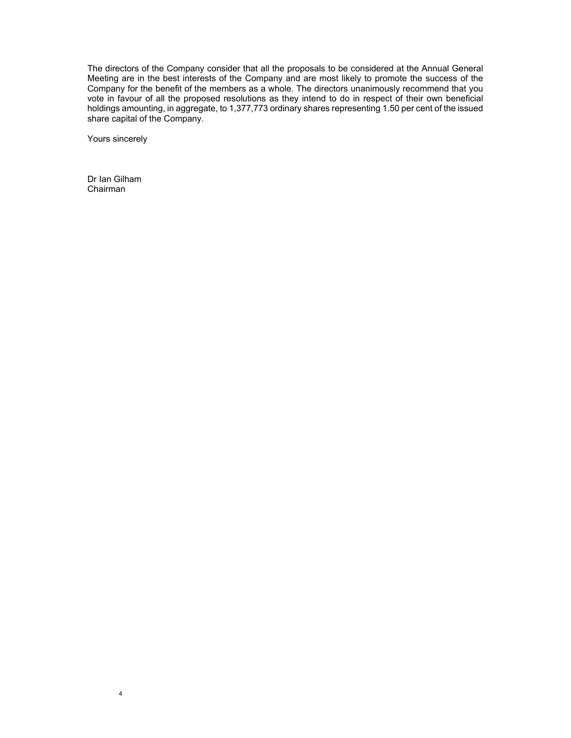The directors of the Company consider that all the proposals to be considered at the Annual General Meeting are in the best interests of the Company and are most likely to promote the success of the Company for the benefit of the members as a whole. The directors unanimously recommend that you vote in favour of all the proposed resolutions as they intend to do in respect of their own beneficial holdings amounting, in aggregate, to 1,377,773 ordinary shares representing 1.50 per cent of the issued share capital of the Company.

Yours sincerely

Dr Ian Gilham Chairman

4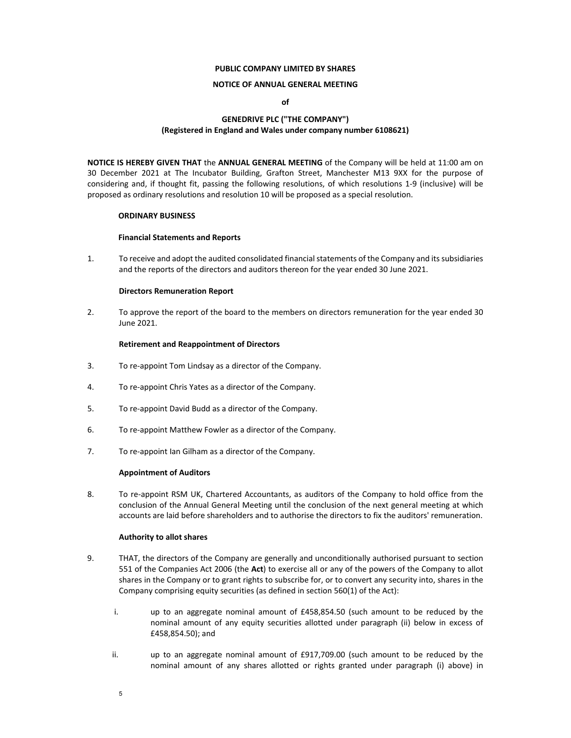#### **PUBLIC COMPANY LIMITED BY SHARES**

#### **NOTICE OF ANNUAL GENERAL MEETING**

**of**

### **GENEDRIVE PLC ("THE COMPANY") (Registered in England and Wales under company number 6108621)**

**NOTICE IS HEREBY GIVEN THAT** the **ANNUAL GENERAL MEETING** of the Company will be held at 11:00 am on 30 December 2021 at The Incubator Building, Grafton Street, Manchester M13 9XX for the purpose of considering and, if thought fit, passing the following resolutions, of which resolutions 1‐9 (inclusive) will be proposed as ordinary resolutions and resolution 10 will be proposed as a special resolution.

#### **ORDINARY BUSINESS**

#### **Financial Statements and Reports**

1. To receive and adopt the audited consolidated financialstatements of the Company and itssubsidiaries and the reports of the directors and auditors thereon for the year ended 30 June 2021.

#### **Directors Remuneration Report**

2. To approve the report of the board to the members on directors remuneration for the year ended 30 June 2021.

#### **Retirement and Reappointment of Directors**

- 3. To re‐appoint Tom Lindsay as a director of the Company.
- 4. To re‐appoint Chris Yates as a director of the Company.
- 5. To re‐appoint David Budd as a director of the Company.
- 6. To re‐appoint Matthew Fowler as a director of the Company.
- 7. To re-appoint Ian Gilham as a director of the Company.

#### **Appointment of Auditors**

8. To re-appoint RSM UK, Chartered Accountants, as auditors of the Company to hold office from the conclusion of the Annual General Meeting until the conclusion of the next general meeting at which accounts are laid before shareholders and to authorise the directors to fix the auditors' remuneration.

#### **Authority to allot shares**

- 9. THAT, the directors of the Company are generally and unconditionally authorised pursuant to section 551 of the Companies Act 2006 (the **Act**) to exercise all or any of the powers of the Company to allot shares in the Company or to grant rights to subscribe for, or to convert any security into, shares in the Company comprising equity securities (as defined in section 560(1) of the Act):
	- i. up to an aggregate nominal amount of £458,854.50 (such amount to be reduced by the nominal amount of any equity securities allotted under paragraph (ii) below in excess of £458,854.50); and
	- ii. up to an aggregate nominal amount of £917,709.00 (such amount to be reduced by the nominal amount of any shares allotted or rights granted under paragraph (i) above) in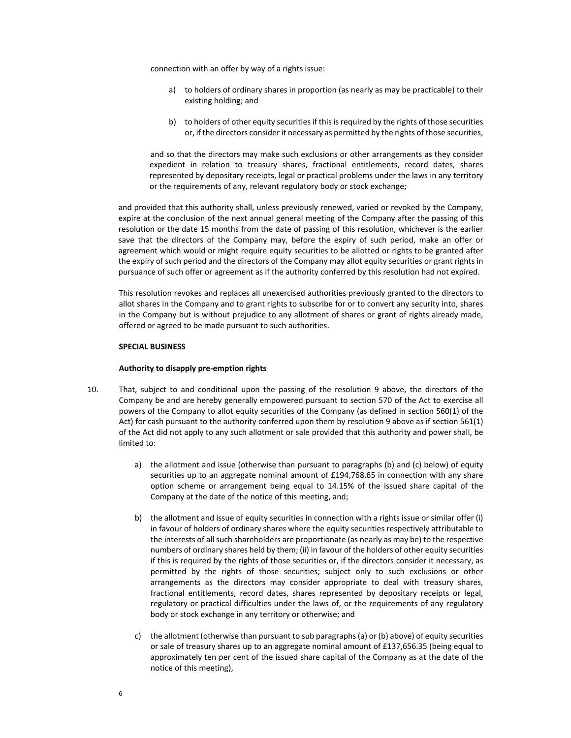connection with an offer by way of a rights issue:

- a) to holders of ordinary shares in proportion (as nearly as may be practicable) to their existing holding; and
- b) to holders of other equity securities if this is required by the rights of those securities or, if the directors consider it necessary as permitted by the rights of those securities,

 and so that the directors may make such exclusions or other arrangements as they consider expedient in relation to treasury shares, fractional entitlements, record dates, shares represented by depositary receipts, legal or practical problems under the laws in any territory or the requirements of any, relevant regulatory body or stock exchange;

and provided that this authority shall, unless previously renewed, varied or revoked by the Company, expire at the conclusion of the next annual general meeting of the Company after the passing of this resolution or the date 15 months from the date of passing of this resolution, whichever is the earlier save that the directors of the Company may, before the expiry of such period, make an offer or agreement which would or might require equity securities to be allotted or rights to be granted after the expiry of such period and the directors of the Company may allot equity securities or grant rights in pursuance of such offer or agreement as if the authority conferred by this resolution had not expired.

This resolution revokes and replaces all unexercised authorities previously granted to the directors to allot shares in the Company and to grant rights to subscribe for or to convert any security into, shares in the Company but is without prejudice to any allotment of shares or grant of rights already made, offered or agreed to be made pursuant to such authorities.

#### **SPECIAL BUSINESS**

#### **Authority to disapply pre‐emption rights**

- 10. That, subject to and conditional upon the passing of the resolution 9 above, the directors of the Company be and are hereby generally empowered pursuant to section 570 of the Act to exercise all powers of the Company to allot equity securities of the Company (as defined in section 560(1) of the Act) for cash pursuant to the authority conferred upon them by resolution 9 above as if section 561(1) of the Act did not apply to any such allotment or sale provided that this authority and power shall, be limited to:
	- a) the allotment and issue (otherwise than pursuant to paragraphs (b) and (c) below) of equity securities up to an aggregate nominal amount of £194,768.65 in connection with any share option scheme or arrangement being equal to 14.15% of the issued share capital of the Company at the date of the notice of this meeting, and;
	- b) the allotment and issue of equity securities in connection with a rights issue or similar offer (i) in favour of holders of ordinary shares where the equity securities respectively attributable to the interests of all such shareholders are proportionate (as nearly as may be) to the respective numbers of ordinary shares held by them; (ii) in favour of the holders of other equity securities if this is required by the rights of those securities or, if the directors consider it necessary, as permitted by the rights of those securities; subject only to such exclusions or other arrangements as the directors may consider appropriate to deal with treasury shares, fractional entitlements, record dates, shares represented by depositary receipts or legal, regulatory or practical difficulties under the laws of, or the requirements of any regulatory body or stock exchange in any territory or otherwise; and
	- c) the allotment (otherwise than pursuant to sub paragraphs(a) or (b) above) of equity securities or sale of treasury shares up to an aggregate nominal amount of £137,656.35 (being equal to approximately ten per cent of the issued share capital of the Company as at the date of the notice of this meeting),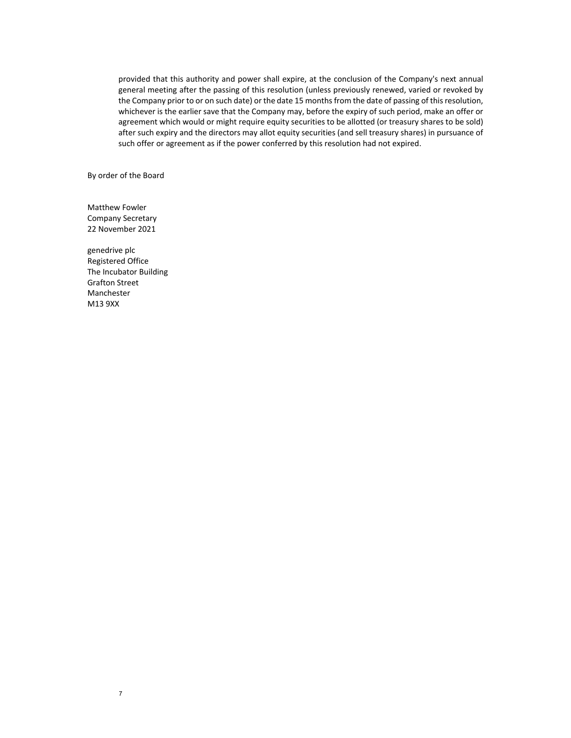provided that this authority and power shall expire, at the conclusion of the Company's next annual general meeting after the passing of this resolution (unless previously renewed, varied or revoked by the Company prior to or on such date) or the date 15 months from the date of passing of this resolution, whichever is the earlier save that the Company may, before the expiry of such period, make an offer or agreement which would or might require equity securities to be allotted (or treasury shares to be sold) after such expiry and the directors may allot equity securities (and sell treasury shares) in pursuance of such offer or agreement as if the power conferred by this resolution had not expired.

By order of the Board

Matthew Fowler Company Secretary 22 November 2021

genedrive plc Registered Office The Incubator Building Grafton Street Manchester M13 9XX

7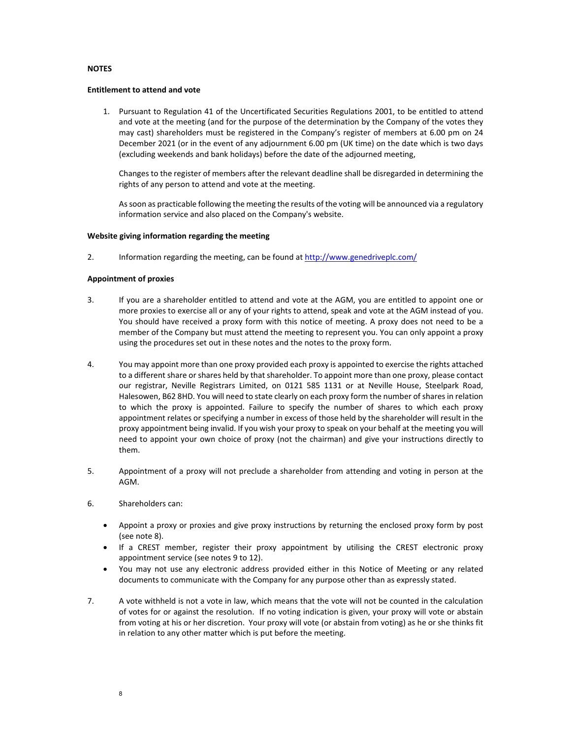#### **NOTES**

#### **Entitlement to attend and vote**

1. Pursuant to Regulation 41 of the Uncertificated Securities Regulations 2001, to be entitled to attend and vote at the meeting (and for the purpose of the determination by the Company of the votes they may cast) shareholders must be registered in the Company's register of members at 6.00 pm on 24 December 2021 (or in the event of any adjournment 6.00 pm (UK time) on the date which is two days (excluding weekends and bank holidays) before the date of the adjourned meeting,

Changes to the register of members after the relevant deadline shall be disregarded in determining the rights of any person to attend and vote at the meeting.

Assoon as practicable following the meeting the results of the voting will be announced via a regulatory information service and also placed on the Company's website.

#### **Website giving information regarding the meeting**

2. Information regarding the meeting, can be found at http://www.genedriveplc.com/

#### **Appointment of proxies**

- 3. If you are a shareholder entitled to attend and vote at the AGM, you are entitled to appoint one or more proxies to exercise all or any of your rights to attend, speak and vote at the AGM instead of you. You should have received a proxy form with this notice of meeting. A proxy does not need to be a member of the Company but must attend the meeting to represent you. You can only appoint a proxy using the procedures set out in these notes and the notes to the proxy form.
- 4. You may appoint more than one proxy provided each proxy is appointed to exercise the rights attached to a different share or shares held by that shareholder. To appoint more than one proxy, please contact our registrar, Neville Registrars Limited, on 0121 585 1131 or at Neville House, Steelpark Road, Halesowen, B62 8HD. You will need to state clearly on each proxy form the number of sharesin relation to which the proxy is appointed. Failure to specify the number of shares to which each proxy appointment relates or specifying a number in excess of those held by the shareholder will result in the proxy appointment being invalid. If you wish your proxy to speak on your behalf at the meeting you will need to appoint your own choice of proxy (not the chairman) and give your instructions directly to them.
- 5. Appointment of a proxy will not preclude a shareholder from attending and voting in person at the AGM.
- 6. Shareholders can:
	- Appoint a proxy or proxies and give proxy instructions by returning the enclosed proxy form by post (see note 8).
	- If a CREST member, register their proxy appointment by utilising the CREST electronic proxy appointment service (see notes 9 to 12).
	- You may not use any electronic address provided either in this Notice of Meeting or any related documents to communicate with the Company for any purpose other than as expressly stated.
- 7. A vote withheld is not a vote in law, which means that the vote will not be counted in the calculation of votes for or against the resolution. If no voting indication is given, your proxy will vote or abstain from voting at his or her discretion. Your proxy will vote (or abstain from voting) as he or she thinks fit in relation to any other matter which is put before the meeting.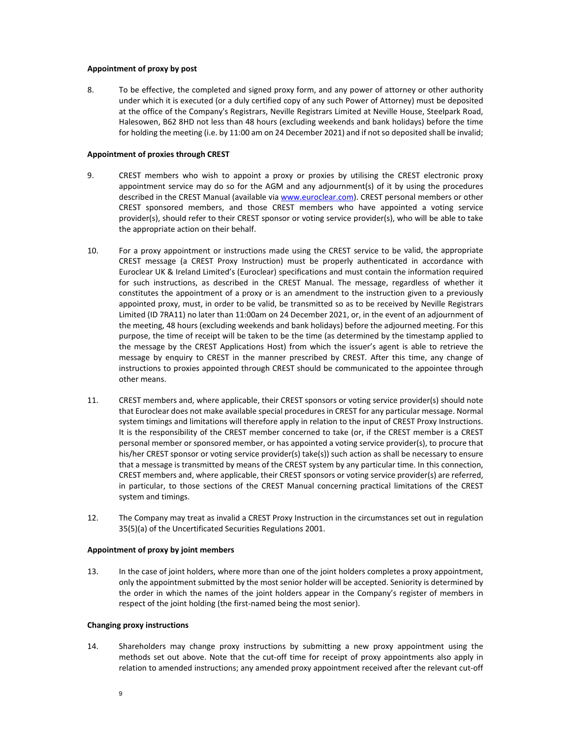#### **Appointment of proxy by post**

8. To be effective, the completed and signed proxy form, and any power of attorney or other authority under which it is executed (or a duly certified copy of any such Power of Attorney) must be deposited at the office of the Company's Registrars, Neville Registrars Limited at Neville House, Steelpark Road, Halesowen, B62 8HD not less than 48 hours (excluding weekends and bank holidays) before the time for holding the meeting (i.e. by 11:00 am on 24 December 2021) and if not so deposited shall be invalid;

#### **Appointment of proxies through CREST**

- 9. CREST members who wish to appoint a proxy or proxies by utilising the CREST electronic proxy appointment service may do so for the AGM and any adjournment(s) of it by using the procedures described in the CREST Manual (available via www.euroclear.com). CREST personal members or other CREST sponsored members, and those CREST members who have appointed a voting service provider(s), should refer to their CREST sponsor or voting service provider(s), who will be able to take the appropriate action on their behalf.
- 10. For a proxy appointment or instructions made using the CREST service to be valid, the appropriate CREST message (a CREST Proxy Instruction) must be properly authenticated in accordance with Euroclear UK & Ireland Limited's (Euroclear) specifications and must contain the information required for such instructions, as described in the CREST Manual. The message, regardless of whether it constitutes the appointment of a proxy or is an amendment to the instruction given to a previously appointed proxy, must, in order to be valid, be transmitted so as to be received by Neville Registrars Limited (ID 7RA11) no later than 11:00am on 24 December 2021, or, in the event of an adjournment of the meeting, 48 hours (excluding weekends and bank holidays) before the adjourned meeting. For this purpose, the time of receipt will be taken to be the time (as determined by the timestamp applied to the message by the CREST Applications Host) from which the issuer's agent is able to retrieve the message by enquiry to CREST in the manner prescribed by CREST. After this time, any change of instructions to proxies appointed through CREST should be communicated to the appointee through other means.
- 11. CREST members and, where applicable, their CREST sponsors or voting service provider(s) should note that Euroclear does not make available special procedures in CREST for any particular message. Normal system timings and limitations will therefore apply in relation to the input of CREST Proxy Instructions. It is the responsibility of the CREST member concerned to take (or, if the CREST member is a CREST personal member or sponsored member, or has appointed a voting service provider(s), to procure that his/her CREST sponsor or voting service provider(s) take(s)) such action as shall be necessary to ensure that a message is transmitted by means of the CREST system by any particular time. In this connection, CREST members and, where applicable, their CREST sponsors or voting service provider(s) are referred, in particular, to those sections of the CREST Manual concerning practical limitations of the CREST system and timings.
- 12. The Company may treat as invalid a CREST Proxy Instruction in the circumstances set out in regulation 35(5)(a) of the Uncertificated Securities Regulations 2001.

#### **Appointment of proxy by joint members**

13. In the case of joint holders, where more than one of the joint holders completes a proxy appointment, only the appointment submitted by the most senior holder will be accepted. Seniority is determined by the order in which the names of the joint holders appear in the Company's register of members in respect of the joint holding (the first-named being the most senior).

#### **Changing proxy instructions**

14. Shareholders may change proxy instructions by submitting a new proxy appointment using the methods set out above. Note that the cut-off time for receipt of proxy appointments also apply in relation to amended instructions; any amended proxy appointment received after the relevant cut‐off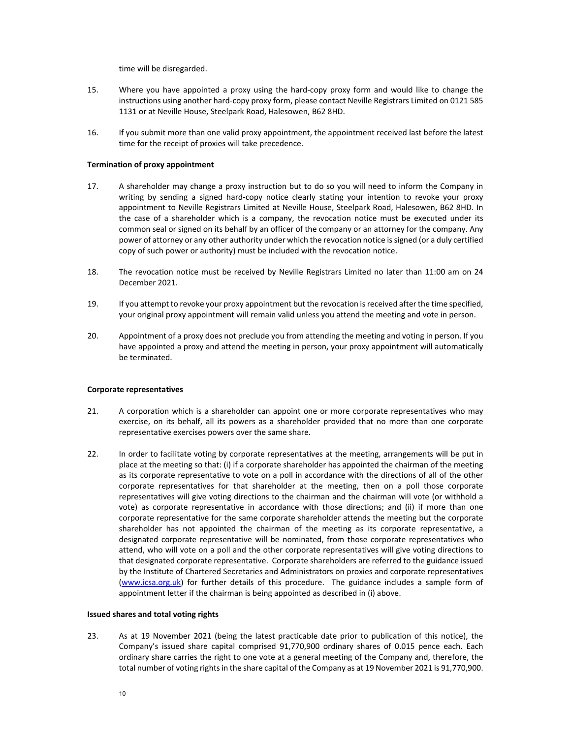time will be disregarded.

- 15. Where you have appointed a proxy using the hard-copy proxy form and would like to change the instructions using another hard‐copy proxy form, please contact Neville Registrars Limited on 0121 585 1131 or at Neville House, Steelpark Road, Halesowen, B62 8HD.
- 16. If you submit more than one valid proxy appointment, the appointment received last before the latest time for the receipt of proxies will take precedence.

#### **Termination of proxy appointment**

- 17. A shareholder may change a proxy instruction but to do so you will need to inform the Company in writing by sending a signed hard-copy notice clearly stating your intention to revoke your proxy appointment to Neville Registrars Limited at Neville House, Steelpark Road, Halesowen, B62 8HD. In the case of a shareholder which is a company, the revocation notice must be executed under its common seal or signed on its behalf by an officer of the company or an attorney for the company. Any power of attorney or any other authority under which the revocation notice is signed (or a duly certified copy of such power or authority) must be included with the revocation notice.
- 18. The revocation notice must be received by Neville Registrars Limited no later than 11:00 am on 24 December 2021.
- 19. If you attempt to revoke your proxy appointment but the revocation isreceived afterthe time specified, your original proxy appointment will remain valid unless you attend the meeting and vote in person.
- 20. Appointment of a proxy does not preclude you from attending the meeting and voting in person. If you have appointed a proxy and attend the meeting in person, your proxy appointment will automatically be terminated.

#### **Corporate representatives**

- 21. A corporation which is a shareholder can appoint one or more corporate representatives who may exercise, on its behalf, all its powers as a shareholder provided that no more than one corporate representative exercises powers over the same share.
- 22. In order to facilitate voting by corporate representatives at the meeting, arrangements will be put in place at the meeting so that: (i) if a corporate shareholder has appointed the chairman of the meeting as its corporate representative to vote on a poll in accordance with the directions of all of the other corporate representatives for that shareholder at the meeting, then on a poll those corporate representatives will give voting directions to the chairman and the chairman will vote (or withhold a vote) as corporate representative in accordance with those directions; and (ii) if more than one corporate representative for the same corporate shareholder attends the meeting but the corporate shareholder has not appointed the chairman of the meeting as its corporate representative, a designated corporate representative will be nominated, from those corporate representatives who attend, who will vote on a poll and the other corporate representatives will give voting directions to that designated corporate representative. Corporate shareholders are referred to the guidance issued by the Institute of Chartered Secretaries and Administrators on proxies and corporate representatives (www.icsa.org.uk) for further details of this procedure. The guidance includes a sample form of appointment letter if the chairman is being appointed as described in (i) above.

#### **Issued shares and total voting rights**

23. As at 19 November 2021 (being the latest practicable date prior to publication of this notice), the Company's issued share capital comprised 91,770,900 ordinary shares of 0.015 pence each. Each ordinary share carries the right to one vote at a general meeting of the Company and, therefore, the total number of voting rights in the share capital of the Company as at 19 November 2021 is 91,770,900.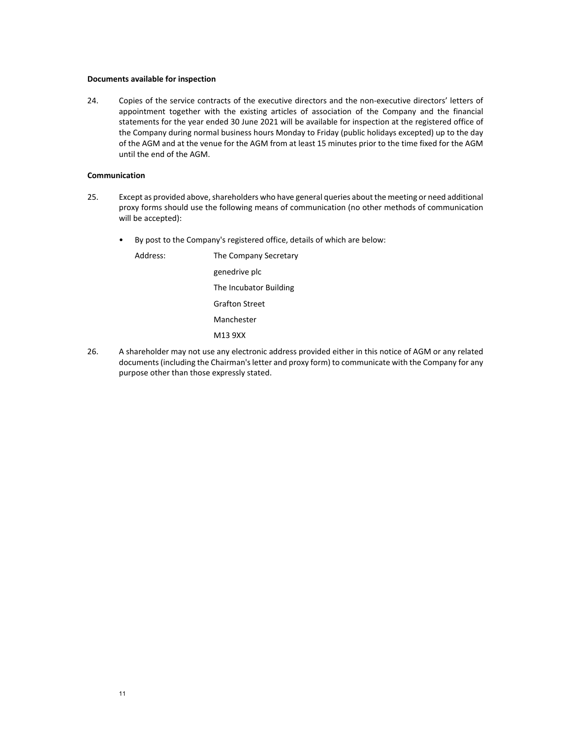#### **Documents available for inspection**

24. Copies of the service contracts of the executive directors and the non-executive directors' letters of appointment together with the existing articles of association of the Company and the financial statements for the year ended 30 June 2021 will be available for inspection at the registered office of the Company during normal business hours Monday to Friday (public holidays excepted) up to the day of the AGM and at the venue for the AGM from at least 15 minutes prior to the time fixed for the AGM until the end of the AGM.

#### **Communication**

- 25. Except as provided above, shareholders who have general queries about the meeting or need additional proxy forms should use the following means of communication (no other methods of communication will be accepted):
	- By post to the Company's registered office, details of which are below:

Address: The Company Secretary genedrive plc The Incubator Building Grafton Street Manchester M13 9XX

26. A shareholder may not use any electronic address provided either in this notice of AGM or any related documents (including the Chairman's letter and proxy form) to communicate with the Company for any purpose other than those expressly stated.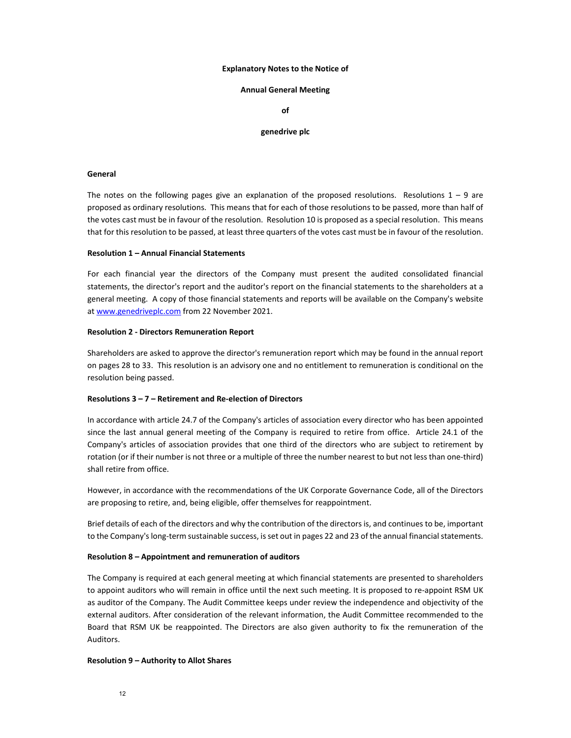#### **Explanatory Notes to the Notice of**

#### **Annual General Meeting**

**of**

#### **genedrive plc**

#### **General**

The notes on the following pages give an explanation of the proposed resolutions. Resolutions  $1 - 9$  are proposed as ordinary resolutions. This means that for each of those resolutions to be passed, more than half of the votes cast must be in favour of the resolution. Resolution 10 is proposed as a special resolution. This means that for this resolution to be passed, at least three quarters of the votes cast must be in favour of the resolution.

#### **Resolution 1 – Annual Financial Statements**

For each financial year the directors of the Company must present the audited consolidated financial statements, the director's report and the auditor's report on the financial statements to the shareholders at a general meeting. A copy of those financial statements and reports will be available on the Company's website at www.genedriveplc.com from 22 November 2021.

#### **Resolution 2 ‐ Directors Remuneration Report**

Shareholders are asked to approve the director's remuneration report which may be found in the annual report on pages 28 to 33. This resolution is an advisory one and no entitlement to remuneration is conditional on the resolution being passed.

#### **Resolutions 3 – 7 – Retirement and Re‐election of Directors**

In accordance with article 24.7 of the Company's articles of association every director who has been appointed since the last annual general meeting of the Company is required to retire from office. Article 24.1 of the Company's articles of association provides that one third of the directors who are subject to retirement by rotation (or if their number is not three or a multiple of three the number nearest to but not less than one‐third) shall retire from office.

However, in accordance with the recommendations of the UK Corporate Governance Code, all of the Directors are proposing to retire, and, being eligible, offer themselves for reappointment.

Brief details of each of the directors and why the contribution of the directors is, and continues to be, important to the Company's long-term sustainable success, is set out in pages 22 and 23 of the annual financial statements.

#### **Resolution 8 – Appointment and remuneration of auditors**

The Company is required at each general meeting at which financial statements are presented to shareholders to appoint auditors who will remain in office until the next such meeting. It is proposed to re-appoint RSM UK as auditor of the Company. The Audit Committee keeps under review the independence and objectivity of the external auditors. After consideration of the relevant information, the Audit Committee recommended to the Board that RSM UK be reappointed. The Directors are also given authority to fix the remuneration of the Auditors.

#### **Resolution 9 – Authority to Allot Shares**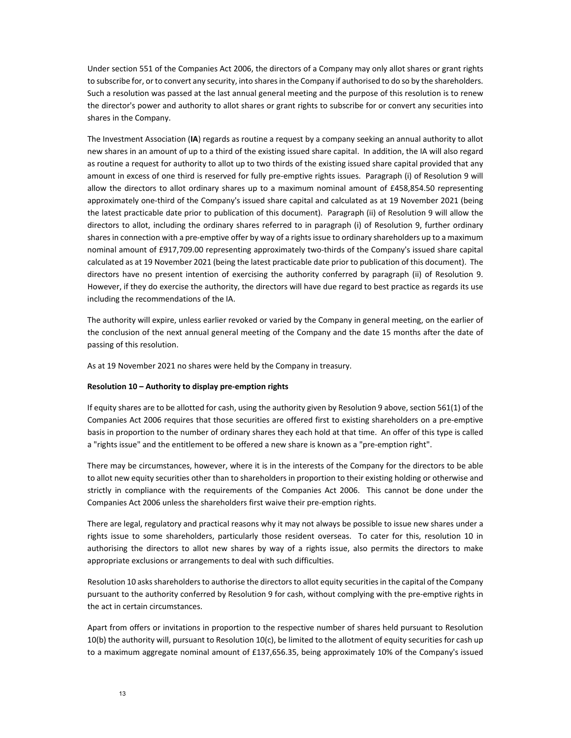Under section 551 of the Companies Act 2006, the directors of a Company may only allot shares or grant rights to subscribe for, or to convert any security, into shares in the Company if authorised to do so by the shareholders. Such a resolution was passed at the last annual general meeting and the purpose of this resolution is to renew the director's power and authority to allot shares or grant rights to subscribe for or convert any securities into shares in the Company.

The Investment Association (**IA**) regards as routine a request by a company seeking an annual authority to allot new shares in an amount of up to a third of the existing issued share capital. In addition, the IA will also regard as routine a request for authority to allot up to two thirds of the existing issued share capital provided that any amount in excess of one third is reserved for fully pre‐emptive rights issues. Paragraph (i) of Resolution 9 will allow the directors to allot ordinary shares up to a maximum nominal amount of £458,854.50 representing approximately one‐third of the Company's issued share capital and calculated as at 19 November 2021 (being the latest practicable date prior to publication of this document). Paragraph (ii) of Resolution 9 will allow the directors to allot, including the ordinary shares referred to in paragraph (i) of Resolution 9, further ordinary shares in connection with a pre-emptive offer by way of a rights issue to ordinary shareholders up to a maximum nominal amount of £917,709.00 representing approximately two‐thirds of the Company's issued share capital calculated as at 19 November 2021 (being the latest practicable date prior to publication of this document). The directors have no present intention of exercising the authority conferred by paragraph (ii) of Resolution 9. However, if they do exercise the authority, the directors will have due regard to best practice as regards its use including the recommendations of the IA.

The authority will expire, unless earlier revoked or varied by the Company in general meeting, on the earlier of the conclusion of the next annual general meeting of the Company and the date 15 months after the date of passing of this resolution.

As at 19 November 2021 no shares were held by the Company in treasury.

#### **Resolution 10 – Authority to display pre‐emption rights**

If equity shares are to be allotted for cash, using the authority given by Resolution 9 above, section 561(1) of the Companies Act 2006 requires that those securities are offered first to existing shareholders on a pre‐emptive basis in proportion to the number of ordinary shares they each hold at that time. An offer of this type is called a "rights issue" and the entitlement to be offered a new share is known as a "pre-emption right".

There may be circumstances, however, where it is in the interests of the Company for the directors to be able to allot new equity securities other than to shareholders in proportion to their existing holding or otherwise and strictly in compliance with the requirements of the Companies Act 2006. This cannot be done under the Companies Act 2006 unless the shareholders first waive their pre‐emption rights.

There are legal, regulatory and practical reasons why it may not always be possible to issue new shares under a rights issue to some shareholders, particularly those resident overseas. To cater for this, resolution 10 in authorising the directors to allot new shares by way of a rights issue, also permits the directors to make appropriate exclusions or arrangements to deal with such difficulties.

Resolution 10 asks shareholders to authorise the directors to allot equity securities in the capital of the Company pursuant to the authority conferred by Resolution 9 for cash, without complying with the pre-emptive rights in the act in certain circumstances.

Apart from offers or invitations in proportion to the respective number of shares held pursuant to Resolution 10(b) the authority will, pursuant to Resolution 10(c), be limited to the allotment of equity securities for cash up to a maximum aggregate nominal amount of £137,656.35, being approximately 10% of the Company's issued